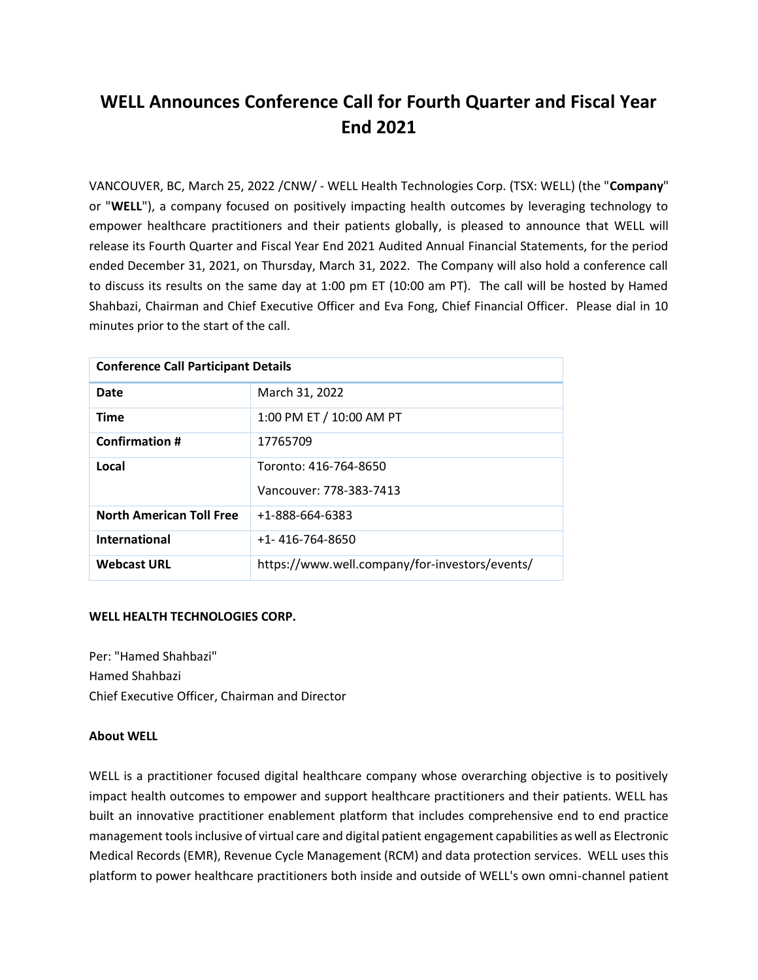## **WELL Announces Conference Call for Fourth Quarter and Fiscal Year End 2021**

VANCOUVER, BC, March 25, 2022 /CNW/ - WELL Health Technologies Corp. (TSX: WELL) (the "**Company**" or "**WELL**"), a company focused on positively impacting health outcomes by leveraging technology to empower healthcare practitioners and their patients globally, is pleased to announce that WELL will release its Fourth Quarter and Fiscal Year End 2021 Audited Annual Financial Statements, for the period ended December 31, 2021, on Thursday, March 31, 2022. The Company will also hold a conference call to discuss its results on the same day at 1:00 pm ET (10:00 am PT). The call will be hosted by Hamed Shahbazi, Chairman and Chief Executive Officer and Eva Fong, Chief Financial Officer. Please dial in 10 minutes prior to the start of the call.

| <b>Conference Call Participant Details</b> |                                                  |
|--------------------------------------------|--------------------------------------------------|
| Date                                       | March 31, 2022                                   |
| <b>Time</b>                                | 1:00 PM ET / 10:00 AM PT                         |
| <b>Confirmation #</b>                      | 17765709                                         |
| Local                                      | Toronto: 416-764-8650<br>Vancouver: 778-383-7413 |
| <b>North American Toll Free</b>            | +1-888-664-6383                                  |
| International                              | $+1 - 416 - 764 - 8650$                          |
| <b>Webcast URL</b>                         | https://www.well.company/for-investors/events/   |

## **WELL HEALTH TECHNOLOGIES CORP.**

Per: "Hamed Shahbazi" Hamed Shahbazi Chief Executive Officer, Chairman and Director

## **About WELL**

WELL is a practitioner focused digital healthcare company whose overarching objective is to positively impact health outcomes to empower and support healthcare practitioners and their patients. WELL has built an innovative practitioner enablement platform that includes comprehensive end to end practice management tools inclusive of virtual care and digital patient engagement capabilities as well as Electronic Medical Records (EMR), Revenue Cycle Management (RCM) and data protection services. WELL uses this platform to power healthcare practitioners both inside and outside of WELL's own omni-channel patient